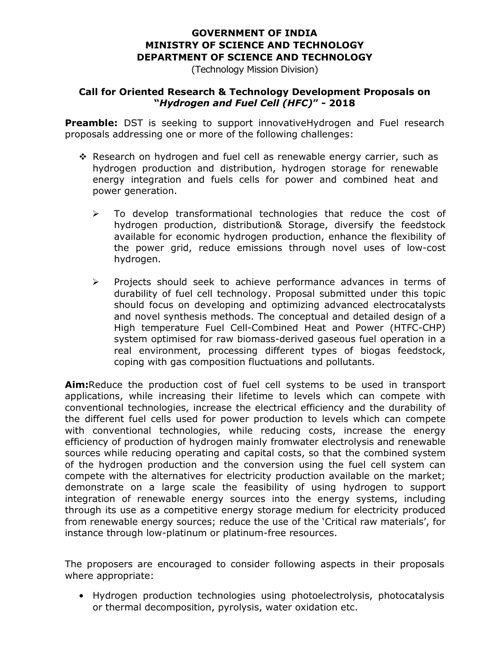# **GOVERNMENT OF INDIA MINISTRY OF SCIENCE AND TECHNOLOGY DEPARTMENT OF SCIENCE AND TECHNOLOGY**

(Technology Mission Division)

#### **Call for Oriented Research & Technology Development Proposals on "***Hydrogen and Fuel Cell (HFC)***" - 2018**

**Preamble:** DST is seeking to support innovativeHydrogen and Fuel research proposals addressing one or more of the following challenges:

- $\div$  Research on hydrogen and fuel cell as renewable energy carrier, such as hydrogen production and distribution, hydrogen storage for renewable energy integration and fuels cells for power and combined heat and power generation.
	- $\geq$  To develop transformational technologies that reduce the cost of hydrogen production, distribution& Storage, diversify the feedstock available for economic hydrogen production, enhance the flexibility of the power grid, reduce emissions through novel uses of low-cost hydrogen.
	- $\triangleright$  Projects should seek to achieve performance advances in terms of durability of fuel cell technology. Proposal submitted under this topic should focus on developing and optimizing advanced electrocatalysts and novel synthesis methods. The conceptual and detailed design of a High temperature Fuel Cell-Combined Heat and Power (HTFC-CHP) system optimised for raw biomass-derived gaseous fuel operation in a real environment, processing different types of biogas feedstock, coping with gas composition fluctuations and pollutants.

**Aim:**Reduce the production cost of fuel cell systems to be used in transport applications, while increasing their lifetime to levels which can compete with conventional technologies, increase the electrical efficiency and the durability of the different fuel cells used for power production to levels which can compete with conventional technologies, while reducing costs, increase the energy efficiency of production of hydrogen mainly fromwater electrolysis and renewable sources while reducing operating and capital costs, so that the combined system of the hydrogen production and the conversion using the fuel cell system can compete with the alternatives for electricity production available on the market; demonstrate on a large scale the feasibility of using hydrogen to support integration of renewable energy sources into the energy systems, including through its use as a competitive energy storage medium for electricity produced from renewable energy sources; reduce the use of the 'Critical raw materials', for instance through low-platinum or platinum-free resources.

The proposers are encouraged to consider following aspects in their proposals where appropriate:

• Hydrogen production technologies using photoelectrolysis, photocatalysis or thermal decomposition, pyrolysis, water oxidation etc.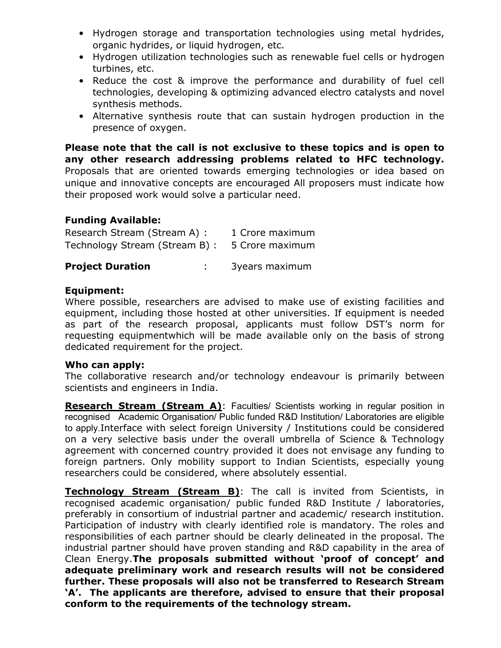- Hydrogen storage and transportation technologies using metal hydrides, organic hydrides, or liquid hydrogen, etc.
- Hydrogen utilization technologies such as renewable fuel cells or hydrogen turbines, etc.
- Reduce the cost & improve the performance and durability of fuel cell technologies, developing & optimizing advanced electro catalysts and novel synthesis methods.
- Alternative synthesis route that can sustain hydrogen production in the presence of oxygen.

**Please note that the call is not exclusive to these topics and is open to any other research addressing problems related to HFC technology.** Proposals that are oriented towards emerging technologies or idea based on unique and innovative concepts are encouraged All proposers must indicate how their proposed work would solve a particular need.

## **Funding Available:**

| Research Stream (Stream A) :                   | 1 Crore maximum |
|------------------------------------------------|-----------------|
| Technology Stream (Stream B) : 5 Crore maximum |                 |
|                                                |                 |

**Project Duration** : 3years maximum

### **Equipment:**

Where possible, researchers are advised to make use of existing facilities and equipment, including those hosted at other universities. If equipment is needed as part of the research proposal, applicants must follow DST's norm for requesting equipmentwhich will be made available only on the basis of strong dedicated requirement for the project.

#### **Who can apply:**

The collaborative research and/or technology endeavour is primarily between scientists and engineers in India.

**Research Stream (Stream A)**: Faculties/ Scientists working in regular position in recognised Academic Organisation/ Public funded R&D Institution/ Laboratories are eligible to apply.Interface with select foreign University / Institutions could be considered on a very selective basis under the overall umbrella of Science & Technology agreement with concerned country provided it does not envisage any funding to foreign partners. Only mobility support to Indian Scientists, especially young researchers could be considered, where absolutely essential.

**Technology Stream (Stream B)**: The call is invited from Scientists, in recognised academic organisation/ public funded R&D Institute / laboratories, preferably in consortium of industrial partner and academic/ research institution. Participation of industry with clearly identified role is mandatory. The roles and responsibilities of each partner should be clearly delineated in the proposal. The industrial partner should have proven standing and R&D capability in the area of Clean Energy.**The proposals submitted without 'proof of concept' and adequate preliminary work and research results will not be considered further. These proposals will also not be transferred to Research Stream 'A'. The applicants are therefore, advised to ensure that their proposal conform to the requirements of the technology stream.**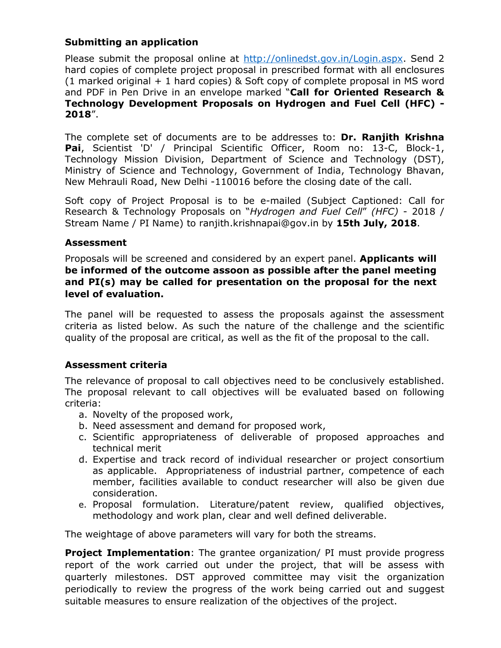## **Submitting an application**

Please submit the proposal online at http://onlinedst.gov.in/Login.aspx. Send 2 hard copies of complete project proposal in prescribed format with all enclosures (1 marked original + 1 hard copies) & Soft copy of complete proposal in MS word and PDF in Pen Drive in an envelope marked "**Call for Oriented Research & Technology Development Proposals on Hydrogen and Fuel Cell (HFC) - 2018**".

The complete set of documents are to be addresses to: **Dr. Ranjith Krishna Pai**, Scientist 'D' / Principal Scientific Officer, Room no: 13-C, Block-1, Technology Mission Division, Department of Science and Technology (DST), Ministry of Science and Technology, Government of India, Technology Bhavan, New Mehrauli Road, New Delhi -110016 before the closing date of the call.

Soft copy of Project Proposal is to be e-mailed (Subject Captioned: Call for Research & Technology Proposals on "*Hydrogen and Fuel Cell*" *(HFC)* - 2018 / Stream Name / PI Name) to ranjith.krishnapai@gov.in by **15th July, 2018**.

## **Assessment**

Proposals will be screened and considered by an expert panel. **Applicants will be informed of the outcome assoon as possible after the panel meeting and PI(s) may be called for presentation on the proposal for the next level of evaluation.**

The panel will be requested to assess the proposals against the assessment criteria as listed below. As such the nature of the challenge and the scientific quality of the proposal are critical, as well as the fit of the proposal to the call.

## **Assessment criteria**

The relevance of proposal to call objectives need to be conclusively established. The proposal relevant to call objectives will be evaluated based on following criteria:

- a. Novelty of the proposed work,
- b. Need assessment and demand for proposed work,
- c. Scientific appropriateness of deliverable of proposed approaches and technical merit
- d. Expertise and track record of individual researcher or project consortium as applicable. Appropriateness of industrial partner, competence of each member, facilities available to conduct researcher will also be given due consideration.
- e. Proposal formulation. Literature/patent review, qualified objectives, methodology and work plan, clear and well defined deliverable.

The weightage of above parameters will vary for both the streams.

**Project Implementation**: The grantee organization/ PI must provide progress report of the work carried out under the project, that will be assess with quarterly milestones. DST approved committee may visit the organization periodically to review the progress of the work being carried out and suggest suitable measures to ensure realization of the objectives of the project.